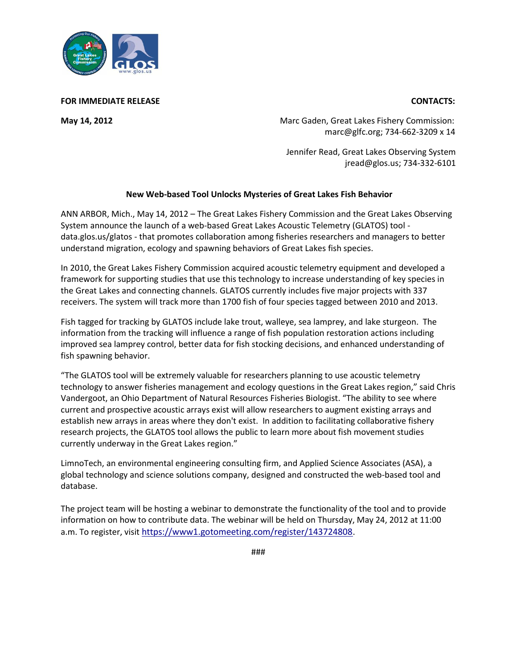

**FOR IMMEDIATE RELEASE CONTACTS:**

**May 14, 2012** Marc Gaden, Great Lakes Fishery Commission: marc@glfc.org; 734-662-3209 x 14

> Jennifer Read, Great Lakes Observing System jread@glos.us; 734-332-6101

## **New Web-based Tool Unlocks Mysteries of Great Lakes Fish Behavior**

ANN ARBOR, Mich., May 14, 2012 – The Great Lakes Fishery Commission and the Great Lakes Observing System announce the launch of a web-based Great Lakes Acoustic Telemetry (GLATOS) tool data.glos.us/glatos - that promotes collaboration among fisheries researchers and managers to better understand migration, ecology and spawning behaviors of Great Lakes fish species.

In 2010, the Great Lakes Fishery Commission acquired acoustic telemetry equipment and developed a framework for supporting studies that use this technology to increase understanding of key species in the Great Lakes and connecting channels. GLATOS currently includes five major projects with 337 receivers. The system will track more than 1700 fish of four species tagged between 2010 and 2013.

Fish tagged for tracking by GLATOS include lake trout, walleye, sea lamprey, and lake sturgeon. The information from the tracking will influence a range of fish population restoration actions including improved sea lamprey control, better data for fish stocking decisions, and enhanced understanding of fish spawning behavior.

"The GLATOS tool will be extremely valuable for researchers planning to use acoustic telemetry technology to answer fisheries management and ecology questions in the Great Lakes region," said Chris Vandergoot, an Ohio Department of Natural Resources Fisheries Biologist. "The ability to see where current and prospective acoustic arrays exist will allow researchers to augment existing arrays and establish new arrays in areas where they don't exist. In addition to facilitating collaborative fishery research projects, the GLATOS tool allows the public to learn more about fish movement studies currently underway in the Great Lakes region."

LimnoTech, an environmental engineering consulting firm, and Applied Science Associates (ASA), a global technology and science solutions company, designed and constructed the web-based tool and database.

The project team will be hosting a webinar to demonstrate the functionality of the tool and to provide information on how to contribute data. The webinar will be held on Thursday, May 24, 2012 at 11:00 a.m. To register, visit <https://www1.gotomeeting.com/register/143724808>.